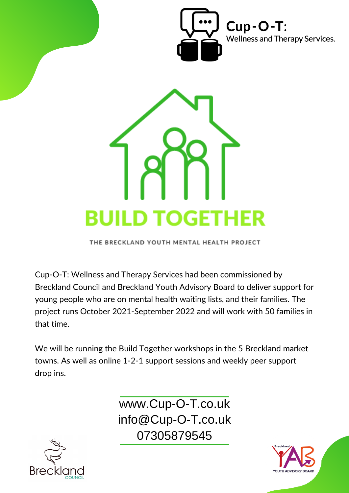



THE BRECKLAND YOUTH MENTAL HEALTH PROJECT

Cup-O-T: Wellness and Therapy Services had been commissioned by Breckland Council and Breckland Youth Advisory Board to deliver support for young people who are on mental health waiting lists, and their families. The project runs October 2021-September 2022 and will work with 50 families in that time.

We will be running the Build Together workshops in the 5 Breckland market towns. As well as online 1-2-1 support sessions and weekly peer support drop ins.

> www.Cup-O-T.co.uk info@Cup-O-T.co.uk 07305879545



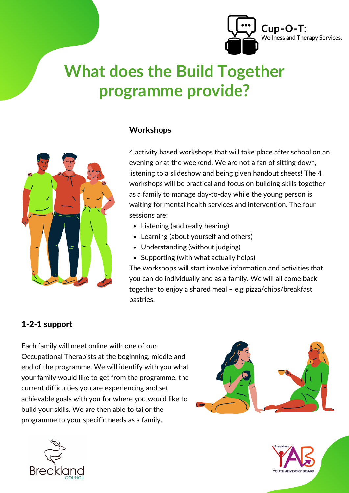

# **What does the Build Together programme provide?**



#### **Workshops**

4 activity based workshops that will take place after school on an evening or at the weekend. We are not a fan of sitting down, listening to a slideshow and being given handout sheets! The 4 workshops will be practical and focus on building skills together as a family to manage day-to-day while the young person is waiting for mental health services and intervention. The four sessions are:

- Listening (and really hearing)
- Learning (about yourself and others)
- Understanding (without judging)
- Supporting (with what actually helps)

The workshops will start involve information and activities that you can do individually and as a family. We will all come back together to enjoy a shared meal – e.g pizza/chips/breakfast pastries.

#### 1-2-1 support

Each family will meet online with one of our Occupational Therapists at the beginning, middle and end of the programme. We will identify with you what your family would like to get from the programme, the current difficulties you are experiencing and set achievable goals with you for where you would like to build your skills. We are then able to tailor the programme to your specific needs as a family.





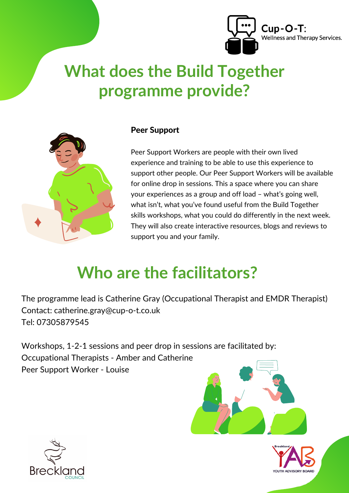

# **What does the Build Together programme provide?**



#### Peer Support

Peer Support Workers are people with their own lived experience and training to be able to use this experience to support other people. Our Peer Support Workers will be available for online drop in sessions. This a space where you can share your experiences as a group and off load – what's going well, what isn't, what you've found useful from the Build Together skills workshops, what you could do differently in the next week. They will also create interactive resources, blogs and reviews to support you and your family.

## **Who are the facilitators?**

The programme lead is Catherine Gray (Occupational Therapist and EMDR Therapist) Contact: catherine.gray@cup-o-t.co.uk Tel: 07305879545

Workshops, 1-2-1 sessions and peer drop in sessions are facilitated by: Occupational Therapists - Amber and Catherine Peer Support Worker - Louise